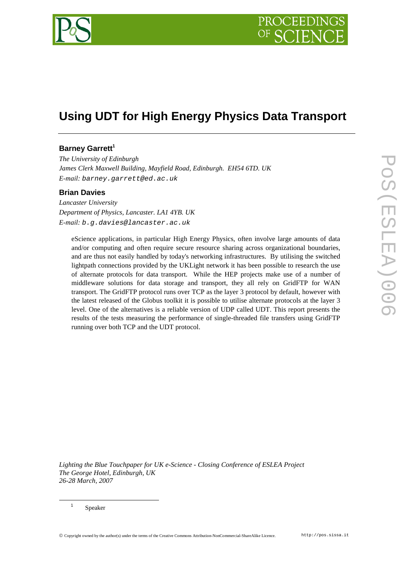

# **Using UDT for High Energy Physics Data Transport**

# **Barney Garrett<sup>1</sup>**

*The University of Edinburgh James Clerk Maxwell Building, Mayfield Road, Edinburgh. EH54 6TD. UK E-mail:* barney.garrett@ed.ac.uk

### **Brian Davies**

*Lancaster University Department of Physics, Lancaster. LA1 4YB. UK E-mail:* b.g.davies@lancaster.ac.uk

eScience applications, in particular High Energy Physics, often involve large amounts of data and/or computing and often require secure resource sharing across organizational boundaries, and are thus not easily handled by today's networking infrastructures. By utilising the switched lightpath connections provided by the UKLight network it has been possible to research the use of alternate protocols for data transport. While the HEP projects make use of a number of middleware solutions for data storage and transport, they all rely on GridFTP for WAN transport. The GridFTP protocol runs over TCP as the layer 3 protocol by default, however with the latest released of the Globus toolkit it is possible to utilise alternate protocols at the layer 3 level. One of the alternatives is a reliable version of UDP called UDT. This report presents the results of the tests measuring the performance of single-threaded file transfers using GridFTP running over both TCP and the UDT protocol.

*Lighting the Blue Touchpaper for UK e-Science - Closing Conference of ESLEA Project The George Hotel, Edinburgh, UK 26-28 March, 2007*

Speaker

 $\overline{a}$ 1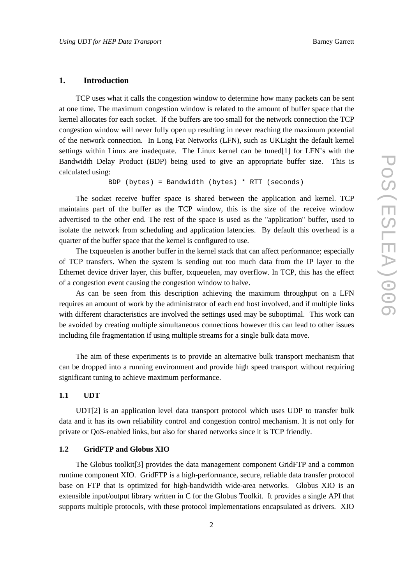#### **1. Introduction**

TCP uses what it calls the congestion window to determine how many packets can be sent at one time. The maximum congestion window is related to the amount of buffer space that the kernel allocates for each socket. If the buffers are too small for the network connection the TCP congestion window will never fully open up resulting in never reaching the maximum potential of the network connection. In Long Fat Networks (LFN), such as UKLight the default kernel settings within Linux are inadequate. The Linux kernel can be tuned[1] for LFN's with the Bandwidth Delay Product (BDP) being used to give an appropriate buffer size. This is calculated using:

```
BDP (bytes) = Bandwidth (bytes) * RTT (seconds)
```
The socket receive buffer space is shared between the application and kernel. TCP maintains part of the buffer as the TCP window, this is the size of the receive window advertised to the other end. The rest of the space is used as the "application" buffer, used to isolate the network from scheduling and application latencies. By default this overhead is a quarter of the buffer space that the kernel is configured to use.

The txqueuelen is another buffer in the kernel stack that can affect performance; especially of TCP transfers. When the system is sending out too much data from the IP layer to the Ethernet device driver layer, this buffer, txqueuelen, may overflow. In TCP, this has the effect of a congestion event causing the congestion window to halve.

As can be seen from this description achieving the maximum throughput on a LFN requires an amount of work by the administrator of each end host involved, and if multiple links with different characteristics are involved the settings used may be suboptimal. This work can be avoided by creating multiple simultaneous connections however this can lead to other issues including file fragmentation if using multiple streams for a single bulk data move.

The aim of these experiments is to provide an alternative bulk transport mechanism that can be dropped into a running environment and provide high speed transport without requiring significant tuning to achieve maximum performance.

#### **1.1 UDT**

UDT[2] is an application level data transport protocol which uses UDP to transfer bulk data and it has its own reliability control and congestion control mechanism. It is not only for private or QoS-enabled links, but also for shared networks since it is TCP friendly.

#### **1.2 GridFTP and Globus XIO**

The Globus toolkit[3] provides the data management component GridFTP and a common runtime component XIO. GridFTP is a high-performance, secure, reliable data transfer protocol base on FTP that is optimized for high-bandwidth wide-area networks. Globus XIO is an extensible input/output library written in C for the Globus Toolkit. It provides a single API that supports multiple protocols, with these protocol implementations encapsulated as drivers. XIO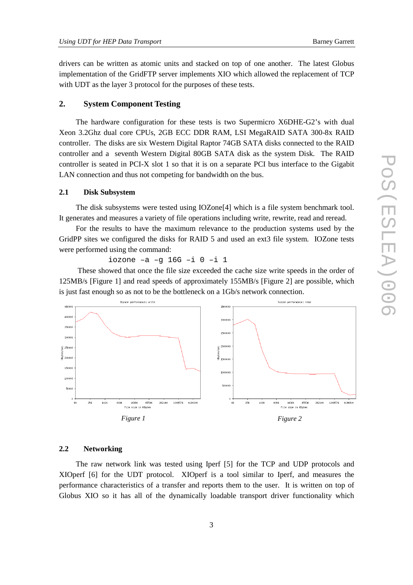drivers can be written as atomic units and stacked on top of one another. The latest Globus implementation of the GridFTP server implements XIO which allowed the replacement of TCP with UDT as the layer 3 protocol for the purposes of these tests.

## **2. System Component Testing**

The hardware configuration for these tests is two Supermicro X6DHE-G2's with dual Xeon 3.2Ghz dual core CPUs, 2GB ECC DDR RAM, LSI MegaRAID SATA 300-8x RAID controller. The disks are six Western Digital Raptor 74GB SATA disks connected to the RAID controller and a seventh Western Digital 80GB SATA disk as the system Disk. The RAID controller is seated in PCI-X slot 1 so that it is on a separate PCI bus interface to the Gigabit LAN connection and thus not competing for bandwidth on the bus.

#### **2.1 Disk Subsystem**

The disk subsystems were tested using IOZone[4] which is a file system benchmark tool. It generates and measures a variety of file operations including write, rewrite, read and reread.

For the results to have the maximum relevance to the production systems used by the GridPP sites we configured the disks for RAID 5 and used an ext3 file system. IOZone tests were performed using the command:

iozone –a –g 16G –i 0 –i 1

 These showed that once the file size exceeded the cache size write speeds in the order of 125MB/s [Figure 1] and read speeds of approximately 155MB/s [Figure 2] are possible, which is just fast enough so as not to be the bottleneck on a 1Gb/s network connection.



#### **2.2 Networking**

The raw network link was tested using Iperf [5] for the TCP and UDP protocols and XIOperf [6] for the UDT protocol. XIOperf is a tool similar to Iperf, and measures the performance characteristics of a transfer and reports them to the user. It is written on top of Globus XIO so it has all of the dynamically loadable transport driver functionality which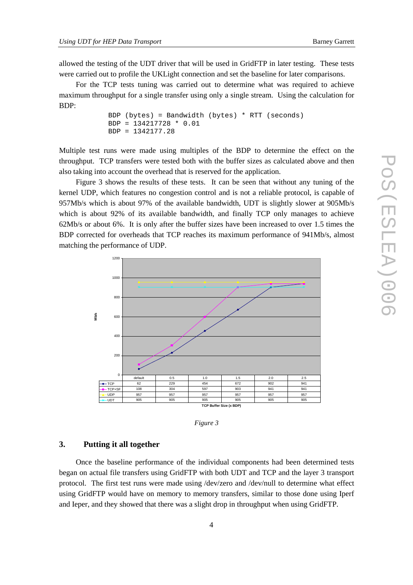allowed the testing of the UDT driver that will be used in GridFTP in later testing. These tests were carried out to profile the UKLight connection and set the baseline for later comparisons.

For the TCP tests tuning was carried out to determine what was required to achieve maximum throughput for a single transfer using only a single stream. Using the calculation for BDP:

```
BDP (bytes) = Bandwidth (bytes) * RTT (seconds) 
BDP = 134217728 * 0.01 
BDP = 1342177.28
```
Multiple test runs were made using multiples of the BDP to determine the effect on the throughput. TCP transfers were tested both with the buffer sizes as calculated above and then also taking into account the overhead that is reserved for the application.

Figure 3 shows the results of these tests. It can be seen that without any tuning of the kernel UDP, which features no congestion control and is not a reliable protocol, is capable of 957Mb/s which is about 97% of the available bandwidth, UDT is slightly slower at 905Mb/s which is about 92% of its available bandwidth, and finally TCP only manages to achieve 62Mb/s or about 6%. It is only after the buffer sizes have been increased to over 1.5 times the BDP corrected for overheads that TCP reaches its maximum performance of 941Mb/s, almost matching the performance of UDP.



| wur |  |
|-----|--|
|     |  |
|     |  |

# **3. Putting it all together**

Once the baseline performance of the individual components had been determined tests began on actual file transfers using GridFTP with both UDT and TCP and the layer 3 transport protocol. The first test runs were made using /dev/zero and /dev/null to determine what effect using GridFTP would have on memory to memory transfers, similar to those done using Iperf and Ieper, and they showed that there was a slight drop in throughput when using GridFTP.